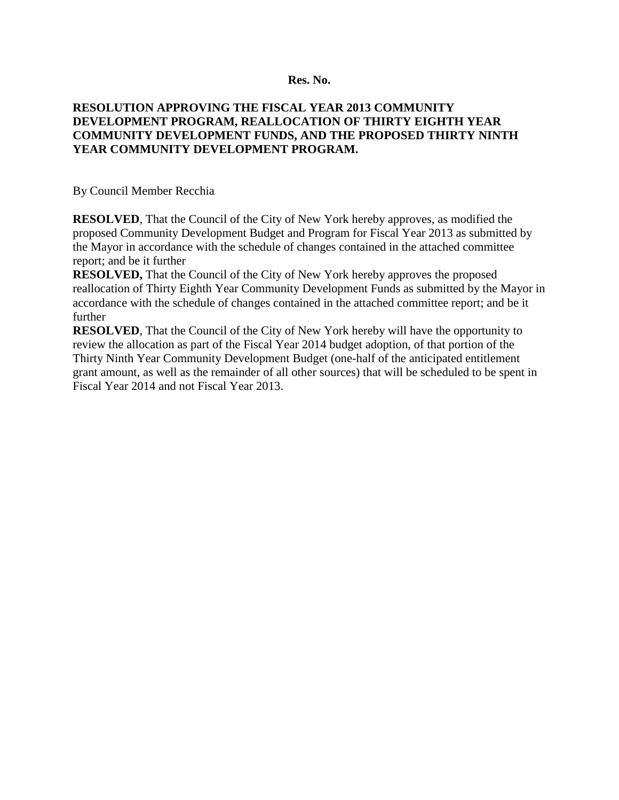#### **Res. No.**

## **RESOLUTION APPROVING THE FISCAL YEAR 2013 COMMUNITY DEVELOPMENT PROGRAM, REALLOCATION OF THIRTY EIGHTH YEAR COMMUNITY DEVELOPMENT FUNDS, AND THE PROPOSED THIRTY NINTH YEAR COMMUNITY DEVELOPMENT PROGRAM.**

By Council Member Recchia

**RESOLVED**, That the Council of the City of New York hereby approves, as modified the proposed Community Development Budget and Program for Fiscal Year 2013 as submitted by the Mayor in accordance with the schedule of changes contained in the attached committee report; and be it further

**RESOLVED,** That the Council of the City of New York hereby approves the proposed reallocation of Thirty Eighth Year Community Development Funds as submitted by the Mayor in accordance with the schedule of changes contained in the attached committee report; and be it further

**RESOLVED**, That the Council of the City of New York hereby will have the opportunity to review the allocation as part of the Fiscal Year 2014 budget adoption, of that portion of the Thirty Ninth Year Community Development Budget (one-half of the anticipated entitlement grant amount, as well as the remainder of all other sources) that will be scheduled to be spent in Fiscal Year 2014 and not Fiscal Year 2013.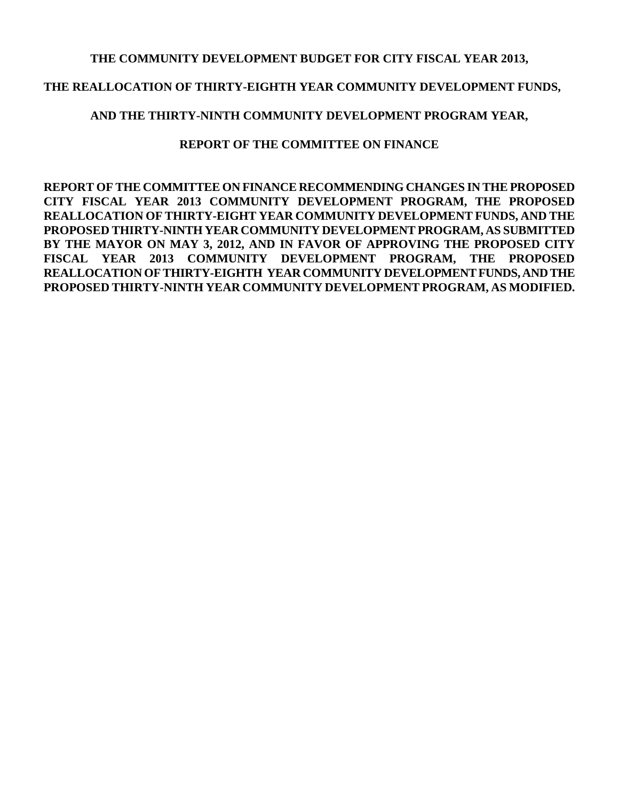# **THE COMMUNITY DEVELOPMENT BUDGET FOR CITY FISCAL YEAR 2013,**

### **THE REALLOCATION OF THIRTY-EIGHTH YEAR COMMUNITY DEVELOPMENT FUNDS,**

## **AND THE THIRTY-NINTH COMMUNITY DEVELOPMENT PROGRAM YEAR,**

# **REPORT OF THE COMMITTEE ON FINANCE**

**REPORT OF THE COMMITTEE ON FINANCE RECOMMENDING CHANGES IN THE PROPOSED CITY FISCAL YEAR 2013 COMMUNITY DEVELOPMENT PROGRAM, THE PROPOSED REALLOCATION OF THIRTY-EIGHT YEAR COMMUNITY DEVELOPMENT FUNDS, AND THE PROPOSED THIRTY-NINTH YEAR COMMUNITY DEVELOPMENT PROGRAM, AS SUBMITTED BY THE MAYOR ON MAY 3, 2012, AND IN FAVOR OF APPROVING THE PROPOSED CITY FISCAL YEAR 2013 COMMUNITY DEVELOPMENT PROGRAM, THE PROPOSED REALLOCATION OF THIRTY-EIGHTH YEAR COMMUNITY DEVELOPMENT FUNDS, AND THE PROPOSED THIRTY-NINTH YEAR COMMUNITY DEVELOPMENT PROGRAM, AS MODIFIED.**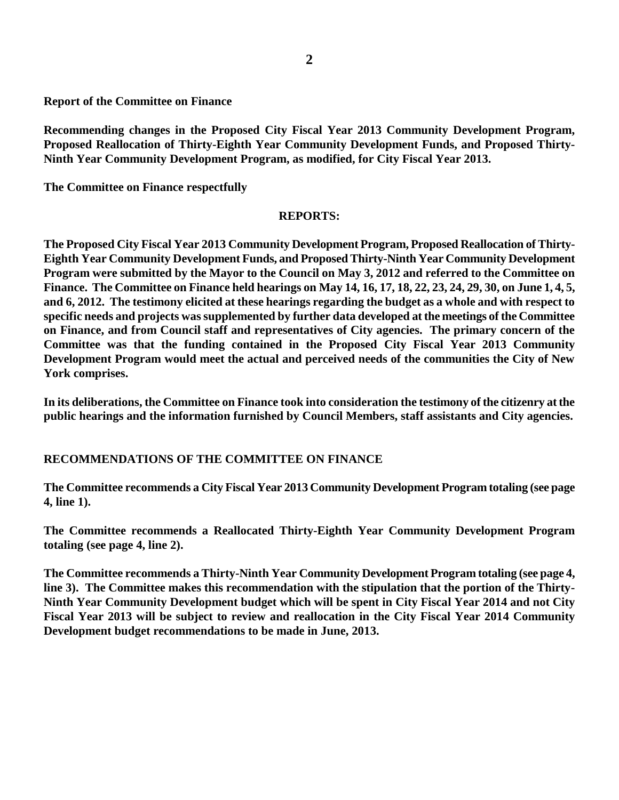**Report of the Committee on Finance**

**Recommending changes in the Proposed City Fiscal Year 2013 Community Development Program, Proposed Reallocation of Thirty-Eighth Year Community Development Funds, and Proposed Thirty-Ninth Year Community Development Program, as modified, for City Fiscal Year 2013.**

**The Committee on Finance respectfully**

#### **REPORTS:**

**The Proposed City Fiscal Year 2013 Community Development Program, Proposed Reallocation of Thirty-Eighth Year Community Development Funds, and Proposed Thirty-Ninth Year Community Development Program were submitted by the Mayor to the Council on May 3, 2012 and referred to the Committee on Finance. The Committee on Finance held hearings on May 14, 16, 17, 18, 22, 23, 24, 29, 30, on June 1, 4, 5, and 6, 2012. The testimony elicited at these hearings regarding the budget as a whole and with respect to specific needs and projects was supplemented by further data developed at the meetings of the Committee on Finance, and from Council staff and representatives of City agencies. The primary concern of the Committee was that the funding contained in the Proposed City Fiscal Year 2013 Community Development Program would meet the actual and perceived needs of the communities the City of New York comprises.**

**In its deliberations, the Committee on Finance took into consideration the testimony of the citizenry at the public hearings and the information furnished by Council Members, staff assistants and City agencies.**

### **RECOMMENDATIONS OF THE COMMITTEE ON FINANCE**

**The Committee recommends a City Fiscal Year 2013 Community Development Program totaling (see page 4, line 1).**

**The Committee recommends a Reallocated Thirty-Eighth Year Community Development Program totaling (see page 4, line 2).**

**The Committee recommends a Thirty-Ninth Year Community Development Program totaling (see page 4, line 3). The Committee makes this recommendation with the stipulation that the portion of the Thirty-Ninth Year Community Development budget which will be spent in City Fiscal Year 2014 and not City Fiscal Year 2013 will be subject to review and reallocation in the City Fiscal Year 2014 Community Development budget recommendations to be made in June, 2013.**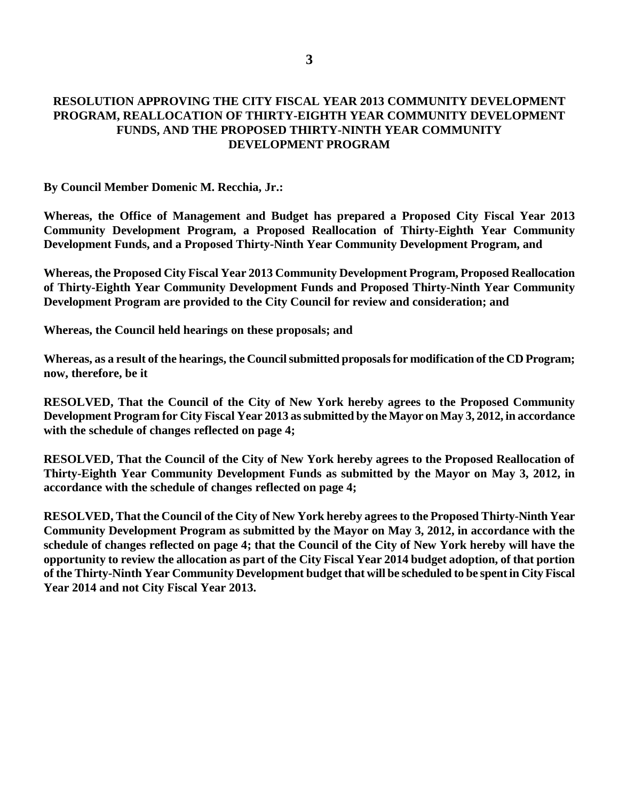# **RESOLUTION APPROVING THE CITY FISCAL YEAR 2013 COMMUNITY DEVELOPMENT PROGRAM, REALLOCATION OF THIRTY-EIGHTH YEAR COMMUNITY DEVELOPMENT FUNDS, AND THE PROPOSED THIRTY-NINTH YEAR COMMUNITY DEVELOPMENT PROGRAM**

#### **By Council Member Domenic M. Recchia, Jr.:**

**Whereas, the Office of Management and Budget has prepared a Proposed City Fiscal Year 2013 Community Development Program, a Proposed Reallocation of Thirty-Eighth Year Community Development Funds, and a Proposed Thirty-Ninth Year Community Development Program, and** 

**Whereas, the Proposed City Fiscal Year 2013 Community Development Program, Proposed Reallocation of Thirty-Eighth Year Community Development Funds and Proposed Thirty-Ninth Year Community Development Program are provided to the City Council for review and consideration; and**

**Whereas, the Council held hearings on these proposals; and**

**Whereas, as a result of the hearings, the Council submitted proposals for modification of the CD Program; now, therefore, be it**

**RESOLVED, That the Council of the City of New York hereby agrees to the Proposed Community Development Program for City Fiscal Year 2013 as submitted by the Mayor on May 3, 2012, in accordance with the schedule of changes reflected on page 4;**

**RESOLVED, That the Council of the City of New York hereby agrees to the Proposed Reallocation of Thirty-Eighth Year Community Development Funds as submitted by the Mayor on May 3, 2012, in accordance with the schedule of changes reflected on page 4;**

**RESOLVED, That the Council of the City of New York hereby agrees to the Proposed Thirty-Ninth Year Community Development Program as submitted by the Mayor on May 3, 2012, in accordance with the schedule of changes reflected on page 4; that the Council of the City of New York hereby will have the opportunity to review the allocation as part of the City Fiscal Year 2014 budget adoption, of that portion of the Thirty-Ninth Year Community Development budget that will be scheduled to be spent in City Fiscal Year 2014 and not City Fiscal Year 2013.**